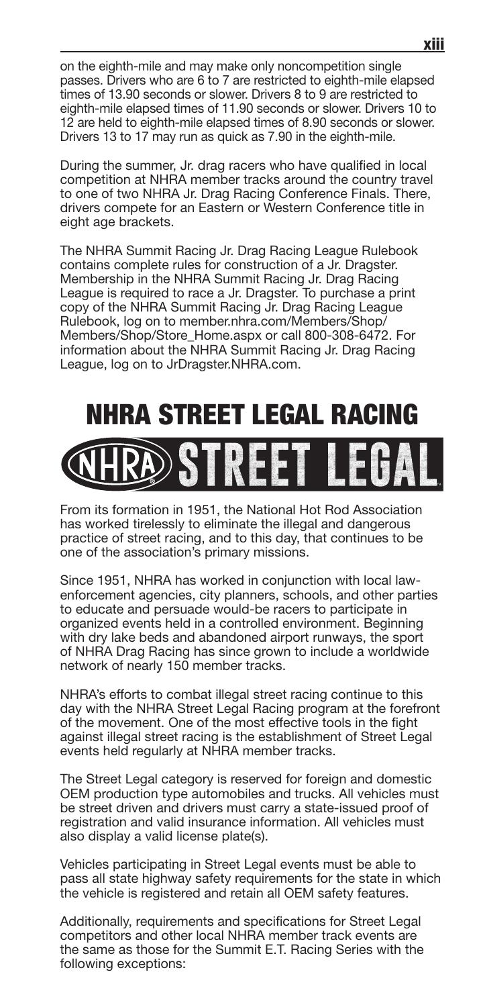on the eighth-mile and may make only noncompetition single passes. Drivers who are 6 to 7 are restricted to eighth-mile elapsed times of 13.90 seconds or slower. Drivers 8 to 9 are restricted to eighth-mile elapsed times of 11.90 seconds or slower. Drivers 10 to 12 are held to eighth-mile elapsed times of 8.90 seconds or slower. Drivers 13 to 17 may run as quick as 7.90 in the eighth-mile.

During the summer, Jr. drag racers who have qualified in local competition at NHRA member tracks around the country travel to one of two NHRA Jr. Drag Racing Conference Finals. There, drivers compete for an Eastern or Western Conference title in eight age brackets.

The NHRA Summit Racing Jr. Drag Racing League Rulebook contains complete rules for construction of a Jr. Dragster. Membership in the NHRA Summit Racing Jr. Drag Racing League is required to race a Jr. Dragster. To purchase a print copy of the NHRA Summit Racing Jr. Drag Racing League Rulebook, log on to member.nhra.com/Members/Shop/ Members/Shop/Store\_Home.aspx or call 800-308-6472. For information about the NHRA Summit Racing Jr. Drag Racing League, log on to JrDragster.NHRA.com.

## NHRA STREET LEGAL RACING



From its formation in 1951, the National Hot Rod Association has worked tirelessly to eliminate the illegal and dangerous practice of street racing, and to this day, that continues to be one of the association's primary missions.

Since 1951, NHRA has worked in conjunction with local lawenforcement agencies, city planners, schools, and other parties to educate and persuade would-be racers to participate in organized events held in a controlled environment. Beginning with dry lake beds and abandoned airport runways, the sport of NHRA Drag Racing has since grown to include a worldwide network of nearly 150 member tracks.

NHRA's efforts to combat illegal street racing continue to this day with the NHRA Street Legal Racing program at the forefront of the movement. One of the most effective tools in the fight against illegal street racing is the establishment of Street Legal events held regularly at NHRA member tracks.

The Street Legal category is reserved for foreign and domestic OEM production type automobiles and trucks. All vehicles must be street driven and drivers must carry a state-issued proof of registration and valid insurance information. All vehicles must also display a valid license plate(s).

Vehicles participating in Street Legal events must be able to pass all state highway safety requirements for the state in which the vehicle is registered and retain all OEM safety features.

Additionally, requirements and specifications for Street Legal competitors and other local NHRA member track events are the same as those for the Summit E.T. Racing Series with the following exceptions: